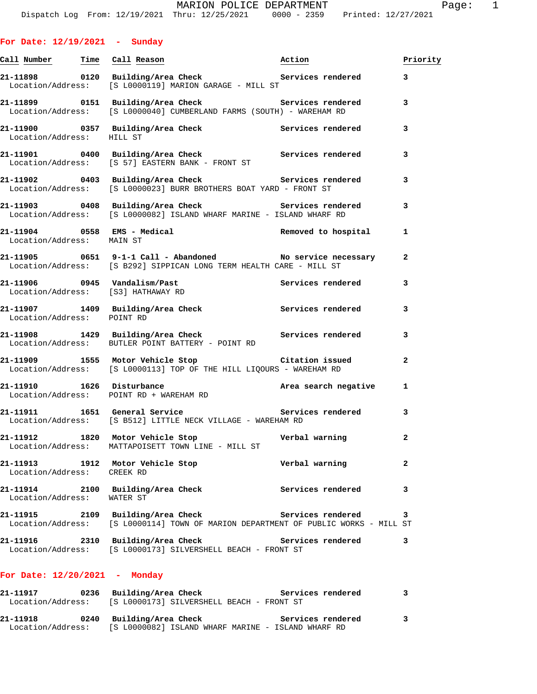| <u>Call Number — Time Call Reason</u> |                                                                                                                                                                                                                                | Action            | Priority       |
|---------------------------------------|--------------------------------------------------------------------------------------------------------------------------------------------------------------------------------------------------------------------------------|-------------------|----------------|
|                                       | 21-11898      0120  Building/Area Check          Services rendered<br>Location/Address: [S L0000119] MARION GARAGE - MILL ST                                                                                                   |                   | 3              |
|                                       | 21-11899 0151 Building/Area Check Services rendered<br>Location/Address: [S L0000040] CUMBERLAND FARMS (SOUTH) - WAREHAM RD                                                                                                    |                   | 3              |
| Location/Address: HILL ST             | 21-11900 0357 Building/Area Check Services rendered                                                                                                                                                                            |                   | 3              |
|                                       | 21-11901 0400 Building/Area Check 6 Services rendered<br>Location/Address: [S 57] EASTERN BANK - FRONT ST                                                                                                                      |                   | 3              |
|                                       | 21-11902 0403 Building/Area Check 5ervices rendered<br>Location/Address: [S L0000023] BURR BROTHERS BOAT YARD - FRONT ST                                                                                                       |                   | 3              |
|                                       | 21-11903 0408 Building/Area Check Services rendered<br>Location/Address: [S L0000082] ISLAND WHARF MARINE - ISLAND WHARF RD                                                                                                    |                   | 3              |
| Location/Address: MAIN ST             | $21-11904$ 0558 EMS - Medical Removed to hospital Removed by $10031$ in $10031$ in $10031$ in $10031$ in $10031$ in $10031$ in $10031$ in $10031$ in $10031$ in $10031$ in $10031$ in $10031$ in $10031$ in $10031$ in $10031$ |                   | 1              |
|                                       |                                                                                                                                                                                                                                |                   | $\mathbf{2}$   |
| Location/Address: [S3] HATHAWAY RD    | 21-11906     0945   Vandalism/Past              Services rendered<br>Location/Address:    [S3] HATHAWAY RD                                                                                                                     |                   | 3              |
| Location/Address: POINT RD            | 21-11907 1409 Building/Area Check Services rendered                                                                                                                                                                            |                   | 3              |
|                                       | 21-11908 1429 Building/Area Check Services rendered<br>Location/Address: BUTLER POINT BATTERY - POINT RD                                                                                                                       |                   | 3              |
|                                       | 21-11909 1555 Motor Vehicle Stop Citation issued<br>Location/Address: [S L0000113] TOP OF THE HILL LIQOURS - WAREHAM RD                                                                                                        |                   | $\overline{a}$ |
|                                       | 21-11910 1626 Disturbance and the Area search negative<br>Location/Address: POINT RD + WAREHAM RD                                                                                                                              |                   | 1              |
|                                       | 21-11911 1651 General Service 21 Services rendered<br>Location/Address: [S B512] LITTLE NECK VILLAGE - WAREHAM RD                                                                                                              |                   | 3              |
|                                       | 21-11912 1820 Motor Vehicle Stop Nerbal warning<br>Location/Address: MATTAPOISETT TOWN LINE - MILL ST                                                                                                                          |                   | 2              |
| 21–11913<br>1912<br>Location/Address: | Motor Vehicle Stop<br>CREEK RD                                                                                                                                                                                                 | Verbal warning    | 2              |
| 21-11914<br>2100<br>Location/Address: | Building/Area Check<br>WATER ST                                                                                                                                                                                                | Services rendered | з              |
| 21-11915<br>2109<br>Location/Address: | Building/Area Check<br>[S L0000114] TOWN OF MARION DEPARTMENT OF PUBLIC WORKS - MILL ST                                                                                                                                        | Services rendered | з              |
| 21-11916<br>2310<br>Location/Address: | Building/Area Check<br>[S L0000173] SILVERSHELL BEACH - FRONT ST                                                                                                                                                               | Services rendered | 3              |

## **For Date: 12/20/2021 - Monday**

| 21–11917          | 0236 Building/Area Check                           | Services rendered |              |
|-------------------|----------------------------------------------------|-------------------|--------------|
| Location/Address: | [S L0000173] SILVERSHELL BEACH - FRONT ST          |                   |              |
| 21-11918          | 0240 Building/Area Check                           | Services rendered | $\mathbf{3}$ |
| Location/Address: | [S L0000082] ISLAND WHARF MARINE - ISLAND WHARF RD |                   |              |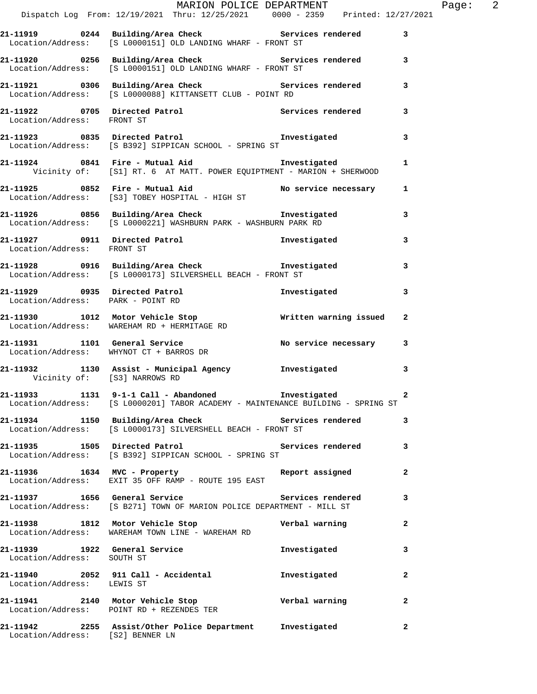|                                  | MARION POLICE DEPARTMENT<br>Dispatch Log From: 12/19/2021 Thru: 12/25/2021 0000 - 2359 Printed: 12/27/2021                           |              | Page: $2$    |
|----------------------------------|--------------------------------------------------------------------------------------------------------------------------------------|--------------|--------------|
|                                  | 21-11919 		 0244 Building/Area Check 		 Services rendered 3                                                                          |              |              |
|                                  | Location/Address: [S L0000151] OLD LANDING WHARF - FRONT ST                                                                          |              |              |
|                                  | 21-11920 0256 Building/Area Check Services rendered 3<br>Location/Address: [S L0000151] OLD LANDING WHARF - FRONT ST                 |              |              |
|                                  | 21-11921 0306 Building/Area Check Services rendered 3<br>Location/Address: [S L0000088] KITTANSETT CLUB - POINT RD                   |              |              |
| Location/Address: FRONT ST       | 21-11922 0705 Directed Patrol Services rendered 3                                                                                    |              |              |
|                                  | 21-11923 0835 Directed Patrol Investigated 19835 Directed Patrol 1988 Directed Patrol 2011 1982                                      |              |              |
|                                  | 21-11924 0841 Fire - Mutual Aid Martigated Investigated<br>Vicinity of: [S1] RT. 6 AT MATT. POWER EQUIPTMENT - MARION + SHERWOOD     |              | $\mathbf{1}$ |
|                                  | 21-11925 0852 Fire - Mutual Aid No service necessary 1<br>Location/Address: [S3] TOBEY HOSPITAL - HIGH ST                            |              |              |
|                                  | 21-11926 0856 Building/Area Check <b>The Investigated</b><br>Location/Address: [S L0000221] WASHBURN PARK - WASHBURN PARK RD         |              | 3            |
|                                  | 21-11927 0911 Directed Patrol 1nvestigated Investigated Location/Address: FRONT ST                                                   |              | 3            |
|                                  | 21-11928 0916 Building/Area Check http://www.finvestigated.com<br>Location/Address: [S L0000173] SILVERSHELL BEACH - FRONT ST        |              | 3            |
|                                  | 21-11929 0935 Directed Patrol<br>Location/Address: PARK - POINT RD                                                                   | Investigated | 3            |
|                                  | 21-11930 1012 Motor Vehicle Stop Written warning issued<br>Location/Address: WAREHAM RD + HERMITAGE RD                               |              | $\mathbf{2}$ |
|                                  | 21-11931. 1101 General Service No service necessary 3<br>Location/Address: WHYNOT CT + BARROS DR                                     |              |              |
|                                  | 21-11932 1130 Assist - Municipal Agency 1nvestigated<br>Vicinity of: [S3] NARROWS RD                                                 |              | 3            |
|                                  | 21-11933 1131 9-1-1 Call - Abandoned Investigated<br>Location/Address: [S L0000201] TABOR ACADEMY - MAINTENANCE BUILDING - SPRING ST |              |              |
|                                  | 21-11934 1150 Building/Area Check Services rendered<br>Location/Address: [S L0000173] SILVERSHELL BEACH - FRONT ST                   |              | 3            |
|                                  | 21-11935 1505 Directed Patrol 1998 1999 Services rendered 3<br>Location/Address: [S B392] SIPPICAN SCHOOL - SPRING ST                |              |              |
|                                  | 21-11936 1634 MVC - Property 1988 Report assigned<br>Location/Address: EXIT 35 OFF RAMP - ROUTE 195 EAST                             |              | $\mathbf{2}$ |
|                                  | 21-11937 1656 General Service 21-11937 3<br>Location/Address: [S B271] TOWN OF MARION POLICE DEPARTMENT - MILL ST                    |              |              |
|                                  | 21-11938 1812 Motor Vehicle Stop Nerbal warning<br>Location/Address: WAREHAM TOWN LINE - WAREHAM RD                                  |              | 2            |
| Location/Address: SOUTH ST       | 21-11939 1922 General Service                                                                                                        | Investigated | 3            |
| Location/Address: LEWIS ST       |                                                                                                                                      |              | 2            |
|                                  | 21-11941 2140 Motor Vehicle Stop Nerbal warning<br>Location/Address: POINT RD + REZENDES TER                                         |              | $\mathbf{2}$ |
| Location/Address: [S2] BENNER LN | 21-11942 2255 Assist/Other Police Department Investigated                                                                            |              | 2            |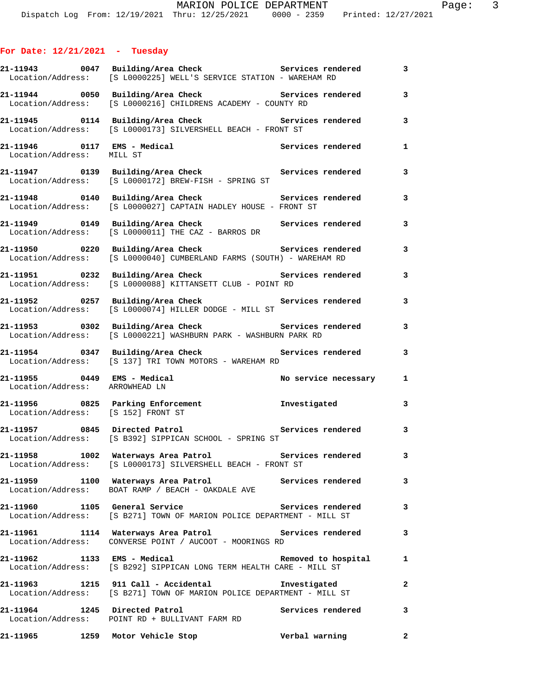## **For Date: 12/21/2021 - Tuesday**

|                                    | 21-11943 0047 Building/Area Check 5ervices rendered<br>Location/Address: [S L0000225] WELL'S SERVICE STATION - WAREHAM RD         |                       | 3                       |
|------------------------------------|-----------------------------------------------------------------------------------------------------------------------------------|-----------------------|-------------------------|
|                                    | 21-11944 0050 Building/Area Check Services rendered<br>Location/Address: [S L0000216] CHILDRENS ACADEMY - COUNTY RD               |                       | $\overline{\mathbf{3}}$ |
| Location/Address:                  | 21-11945 0114 Building/Area Check Services rendered<br>[S L0000173] SILVERSHELL BEACH - FRONT ST                                  |                       | 3                       |
| Location/Address: MILL ST          | 21-11946 0117 EMS - Medical Services rendered<br>Logation/Address: MIII ST                                                        |                       | $\mathbf{1}$            |
| Location/Address:                  | 21-11947 0139 Building/Area Check Services rendered<br>$[S L0000172]$ BREW-FISH - SPRING ST                                       |                       | 3                       |
|                                    | 21-11948 0140 Building/Area Check Services rendered<br>Location/Address: [S L0000027] CAPTAIN HADLEY HOUSE - FRONT ST             |                       | 3                       |
| Location/Address:                  | 21-11949 0149 Building/Area Check Services rendered<br>$[S L0000011]$ THE $CAZ - BARROS$ DR                                       |                       | 3                       |
|                                    | 21-11950 		 0220 Building/Area Check 		 Services rendered<br>Location/Address: [S L0000040] CUMBERLAND FARMS (SOUTH) - WAREHAM RD |                       | 3                       |
| Location/Address:                  | 21-11951 0232 Building/Area Check Services rendered<br>[S L0000088] KITTANSETT CLUB - POINT RD                                    |                       | 3                       |
|                                    | 21-11952 0257 Building/Area Check<br>Location/Address: [S L0000074] HILLER DODGE - MILL ST                                        | Services rendered     | 3                       |
|                                    | 21-11953 0302 Building/Area Check Services rendered<br>Location/Address: [S L0000221] WASHBURN PARK - WASHBURN PARK RD            |                       | 3                       |
|                                    | 21-11954 0347 Building/Area Check Services rendered<br>Location/Address: [S 137] TRI TOWN MOTORS - WAREHAM RD                     |                       | 3                       |
| Location/Address: ARROWHEAD LN     | $21-11955$ 0449 EMS - Medical                                                                                                     | No service necessary  | $\mathbf{1}$            |
| Location/Address: [S 152] FRONT ST | 21-11956      0825 Parking Enforcement          Investigated                                                                      |                       | 3                       |
|                                    | 21-11957 0845 Directed Patrol 20 Services rendered 3<br>Location/Address: [S B392] SIPPICAN SCHOOL - SPRING ST                    |                       |                         |
|                                    | 21-11958 1002 Waterways Area Patrol Services rendered<br>Location/Address: [S L0000173] SILVERSHELL BEACH - FRONT ST              |                       | $\overline{\mathbf{3}}$ |
|                                    | 21-11959 1100 Waterways Area Patrol 1100 Services rendered<br>Location/Address: BOAT RAMP / BEACH - OAKDALE AVE                   |                       | 3                       |
| 21-11960 1105 General Service      | Location/Address: [S B271] TOWN OF MARION POLICE DEPARTMENT - MILL ST                                                             | Services rendered 3   |                         |
|                                    | 21-11961 1114 Waterways Area Patrol Services rendered<br>Location/Address: CONVERSE POINT / AUCOOT - MOORINGS RD                  |                       | 3                       |
| 21-11962 1133 EMS - Medical        | Location/Address: [S B292] SIPPICAN LONG TERM HEALTH CARE - MILL ST                                                               | Removed to hospital 1 |                         |
|                                    | 21-11963 1215 911 Call - Accidental Investigated<br>Location/Address: [S B271] TOWN OF MARION POLICE DEPARTMENT - MILL ST         |                       | 2                       |
| 21-11964 1245 Directed Patrol      | Location/Address: POINT RD + BULLIVANT FARM RD                                                                                    | Services rendered     | 3                       |
|                                    | 21-11965 1259 Motor Vehicle Stop                                                                                                  | Verbal warning        | $\overline{a}$          |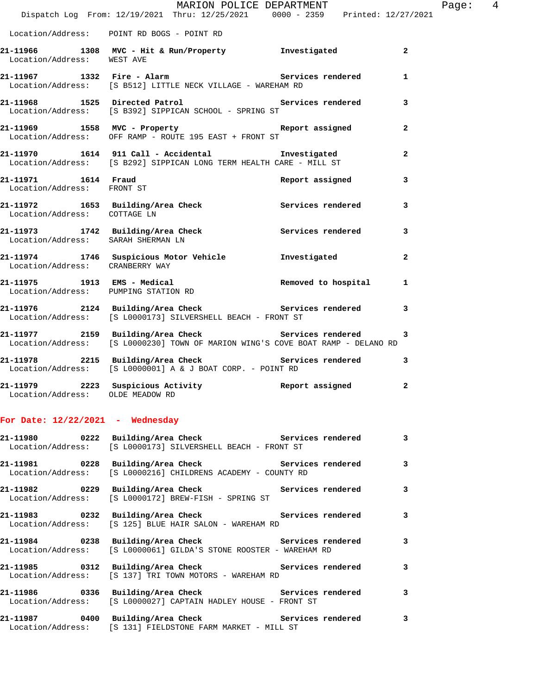|                                                   | Dispatch Log From: 12/19/2021 Thru: 12/25/2021 0000 - 2359 Printed: 12/27/2021                                                           | MARION POLICE DEPARTMENT | Page: $4$               |
|---------------------------------------------------|------------------------------------------------------------------------------------------------------------------------------------------|--------------------------|-------------------------|
|                                                   |                                                                                                                                          |                          |                         |
|                                                   | Location/Address: POINT RD BOGS - POINT RD                                                                                               |                          |                         |
| Location/Address: WEST AVE                        | 21-11966 1308 MVC - Hit & Run/Property 1nvestigated                                                                                      |                          | $\overline{a}$          |
|                                                   | 21-11967 1332 Fire - Alarm Services rendered<br>Location/Address: [S B512] LITTLE NECK VILLAGE - WAREHAM RD                              |                          | $\mathbf{1}$            |
|                                                   | 21-11968 1525 Directed Patrol 21 Services rendered 3<br>Location/Address: [S B392] SIPPICAN SCHOOL - SPRING ST                           |                          |                         |
|                                                   | 21-11969 1558 MVC - Property 1988 Report assigned<br>Location/Address: OFF RAMP - ROUTE 195 EAST + FRONT ST                              |                          | $\overline{2}$          |
|                                                   | 21-11970 1614 911 Call - Accidental                 Investigated<br>Location/Address: [S B292] SIPPICAN LONG TERM HEALTH CARE - MILL ST  |                          | $\overline{a}$          |
| 21-11971 1614 Fraud<br>Location/Address: FRONT ST |                                                                                                                                          | Report assigned          | 3                       |
| Location/Address: COTTAGE LN                      | 21-11972 1653 Building/Area Check 1997 Services rendered 3                                                                               |                          |                         |
| Location/Address: SARAH SHERMAN LN                | 21-11973 1742 Building/Area Check Services rendered                                                                                      |                          | $\overline{\mathbf{3}}$ |
| Location/Address: CRANBERRY WAY                   | 21-11974 1746 Suspicious Motor Vehicle Chronic Envestigated                                                                              |                          | $\overline{a}$          |
| Location/Address: PUMPING STATION RD              | 21-11975 1913 EMS - Medical and Removed to hospital                                                                                      |                          | 1                       |
|                                                   | 21-11976 2124 Building/Area Check Services rendered<br>Location/Address: [S L0000173] SILVERSHELL BEACH - FRONT ST                       |                          | $\mathbf{3}$            |
|                                                   | 21-11977 2159 Building/Area Check Services rendered 3<br>Location/Address: [S L0000230] TOWN OF MARION WING'S COVE BOAT RAMP - DELANO RD |                          |                         |
|                                                   | 21-11978 2215 Building/Area Check 21-11978 Services rendered 3<br>Location/Address: [S L0000001] A & J BOAT CORP. - POINT RD             |                          |                         |
|                                                   | 21-11979 2223 Suspicious Activity                                                                                                        | Report assigned          | $\overline{a}$          |

## **For Date: 12/22/2021 - Wednesday**

Location/Address: OLDE MEADOW RD

| 21-11980      0222  Building/Area Check          Services rendered                                                          |  | $\overline{3}$          |
|-----------------------------------------------------------------------------------------------------------------------------|--|-------------------------|
| Location/Address: [S L0000173] SILVERSHELL BEACH - FRONT ST                                                                 |  |                         |
| 21-11981 		 0228 Building/Area Check 		 Services rendered 3<br>Location/Address: [S L0000216] CHILDRENS ACADEMY - COUNTY RD |  |                         |
| 21-11982 6229 Building/Area Check 5ervices rendered 3<br>Location/Address: [S L0000172] BREW-FISH - SPRING ST               |  |                         |
| 21-11983 0232 Building/Area Check 6 Services rendered 3<br>Location/Address: [S 125] BLUE HAIR SALON - WAREHAM RD           |  |                         |
| 21-11984 0238 Building/Area Check Services rendered 3<br>Location/Address: [S L0000061] GILDA'S STONE ROOSTER - WAREHAM RD  |  |                         |
| 21-11985 0312 Building/Area Check 5 Services rendered 3<br>Location/Address: [S 137] TRI TOWN MOTORS - WAREHAM RD           |  |                         |
| Location/Address: [S L0000027] CAPTAIN HADLEY HOUSE - FRONT ST                                                              |  | $\overline{\mathbf{3}}$ |
| 21-11987 0400 Building/Area Check 5ervices rendered<br>Location/Address: [S 131] FIELDSTONE FARM MARKET - MILL ST           |  | $\mathbf{3}$            |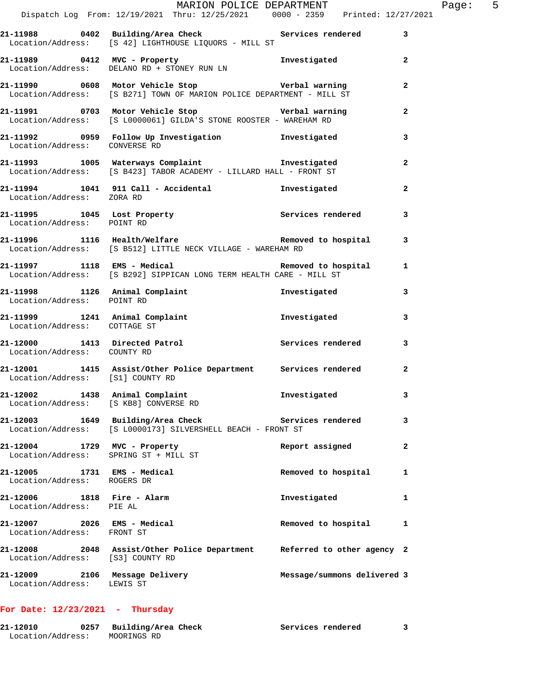|                                                                       | MARION POLICE DEPARTMENT<br>Dispatch Log From: 12/19/2021 Thru: 12/25/2021 0000 - 2359 Printed: 12/27/2021                                               |                             |                | Page: 5 |  |
|-----------------------------------------------------------------------|----------------------------------------------------------------------------------------------------------------------------------------------------------|-----------------------------|----------------|---------|--|
|                                                                       | 21-11988 0402 Building/Area Check Services rendered 3<br>Location/Address: [S 42] LIGHTHOUSE LIQUORS - MILL ST                                           |                             |                |         |  |
|                                                                       | 21-11989 0412 MVC - Property <b>1</b> Investigated 2<br>$Location/Address:$ DELANO RD + STONEY RUN LN                                                    |                             |                |         |  |
|                                                                       | 21-11990 0608 Motor Vehicle Stop Verbal warning<br>Location/Address: [S B271] TOWN OF MARION POLICE DEPARTMENT - MILL ST                                 |                             | $\overline{a}$ |         |  |
|                                                                       | 21-11991 0703 Motor Vehicle Stop Verbal warning<br>Location/Address: [S L0000061] GILDA'S STONE ROOSTER - WAREHAM RD                                     |                             | $\mathbf{2}$   |         |  |
|                                                                       |                                                                                                                                                          |                             | 3              |         |  |
|                                                                       | 21-11993 1005 Waterways Complaint Investigated<br>Location/Address: [S B423] TABOR ACADEMY - LILLARD HALL - FRONT ST                                     |                             | $\overline{a}$ |         |  |
| Location/Address: ZORA RD                                             | 21-11994 1041 911 Call - Accidental Martigated                                                                                                           |                             | $\overline{a}$ |         |  |
| Location/Address: POINT RD                                            | 21-11995 1045 Lost Property 1045 Services rendered                                                                                                       |                             | 3              |         |  |
|                                                                       | 21-11996 1116 Health/Welfare <b>120 Communist Constructs</b> 21-11996 1116 Health/Welfare<br>Location/Address: [S B512] LITTLE NECK VILLAGE - WAREHAM RD |                             |                |         |  |
|                                                                       | 21-11997 1118 EMS - Medical 1 Removed to hospital 1<br>Location/Address: [S B292] SIPPICAN LONG TERM HEALTH CARE - MILL ST                               |                             |                |         |  |
| Location/Address: POINT RD                                            | 21-11998 1126 Animal Complaint                                                                                                                           | Investigated                | 3              |         |  |
| Location/Address: COTTAGE ST                                          | 21-11999 1241 Animal Complaint 10 Investigated                                                                                                           |                             | 3              |         |  |
| Location/Address: COUNTY RD                                           | 21-12000 1413 Directed Patrol Nervices rendered                                                                                                          |                             | $\mathbf{3}$   |         |  |
|                                                                       | 21-12001 1415 Assist/Other Police Department Services rendered<br>Location/Address: [S1] COUNTY RD                                                       |                             | $\mathbf{2}$   |         |  |
| Location/Address: [S KB8] CONVERSE RD                                 | 21-12002 1438 Animal Complaint Threstigated                                                                                                              |                             |                |         |  |
|                                                                       | 21-12003 1649 Building/Area Check Services rendered<br>Location/Address: [S L0000173] SILVERSHELL BEACH - FRONT ST                                       |                             | 3              |         |  |
| 21-12004 1729 MVC - Property<br>Location/Address: SPRING ST + MILL ST |                                                                                                                                                          | Report assigned             | $\mathbf{2}$   |         |  |
| 21-12005 1731 EMS - Medical<br>Location/Address: ROGERS DR            |                                                                                                                                                          | Removed to hospital         | 1              |         |  |
| 21-12006 1818 Fire - Alarm<br>Location/Address: PIE AL                |                                                                                                                                                          | Investigated                | 1              |         |  |
| 21-12007 2026 EMS - Medical<br>Location/Address: FRONT ST             |                                                                                                                                                          | Removed to hospital         | 1              |         |  |
| Location/Address: [S3] COUNTY RD                                      | 21-12008 2048 Assist/Other Police Department Referred to other agency 2                                                                                  |                             |                |         |  |
| 21-12009 2106 Message Delivery<br>Location/Address: LEWIS ST          |                                                                                                                                                          | Message/summons delivered 3 |                |         |  |
|                                                                       |                                                                                                                                                          |                             |                |         |  |

## **For Date: 12/23/2021 - Thursday**

| 21-12010          | Building/Area Check | Services rendered |  |
|-------------------|---------------------|-------------------|--|
| Location/Address: | MOORINGS RD         |                   |  |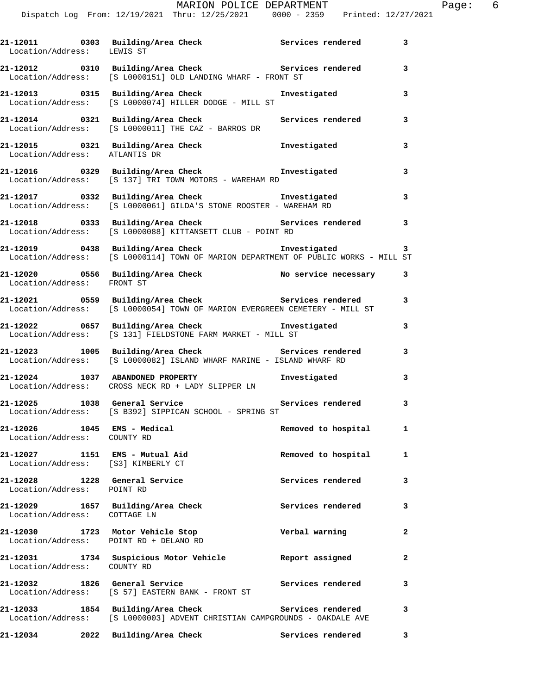| Location/Address: LEWIS ST                                           | 21-12011 0303 Building/Area Check Services rendered                                                                                 |                     | $\overline{\mathbf{3}}$ |
|----------------------------------------------------------------------|-------------------------------------------------------------------------------------------------------------------------------------|---------------------|-------------------------|
|                                                                      | 21-12012 0310 Building/Area Check Services rendered<br>Location/Address: [S L0000151] OLD LANDING WHARF - FRONT ST                  |                     | 3                       |
|                                                                      | 21-12013 0315 Building/Area Check<br>Location/Address: [S L0000074] HILLER DODGE - MILL ST                                          | Investigated        | 3                       |
|                                                                      | 21-12014 0321 Building/Area Check<br>Location/Address: [S L0000011] THE CAZ - BARROS DR                                             | Services rendered   | 3                       |
| Location/Address: ATLANTIS DR                                        | 21-12015 0321 Building/Area Check 1nvestigated                                                                                      |                     | 3                       |
|                                                                      | 21-12016 0329 Building/Area Check <b>The Investigated</b><br>Location/Address: [S 137] TRI TOWN MOTORS - WAREHAM RD                 |                     | 3                       |
|                                                                      | 21-12017   0332   Building/Area Check   Investigated<br>Location/Address: [S L0000061] GILDA'S STONE ROOSTER - WAREHAM RD           |                     | 3                       |
| Location/Address:                                                    | 21-12018 0333 Building/Area Check Services rendered<br>[S L0000088] KITTANSETT CLUB - POINT RD                                      |                     | 3                       |
| Location/Address:                                                    | 21-12019 0438 Building/Area Check <b>hereogene investigated</b><br>[S L0000114] TOWN OF MARION DEPARTMENT OF PUBLIC WORKS - MILL ST |                     | 3                       |
| Location/Address: FRONT ST                                           | 21-12020 0556 Building/Area Check No service necessary 3                                                                            |                     |                         |
|                                                                      | 21-12021 0559 Building/Area Check Services rendered<br>Location/Address: [S L0000054] TOWN OF MARION EVERGREEN CEMETERY - MILL ST   |                     | 3                       |
|                                                                      | 21-12022 0657 Building/Area Check Threstigated<br>Location/Address: [S 131] FIELDSTONE FARM MARKET - MILL ST                        |                     | 3                       |
|                                                                      | 21-12023 1005 Building/Area Check Services rendered<br>Location/Address: [S L0000082] ISLAND WHARF MARINE - ISLAND WHARF RD         |                     | 3                       |
|                                                                      | 21-12024 1037 ABANDONED PROPERTY<br>Location/Address: CROSS NECK RD + LADY SLIPPER LN                                               | Investigated        | 3                       |
| 21-12025 1038 General Service                                        | Location/Address: [S B392] SIPPICAN SCHOOL - SPRING ST                                                                              | Services rendered   | 3                       |
| 21-12026<br>Location/Address: COUNTY RD                              | 1045 EMS - Medical                                                                                                                  | Removed to hospital | $\mathbf{1}$            |
| 21-12027 1151 EMS - Mutual Aid<br>Location/Address: [S3] KIMBERLY CT |                                                                                                                                     | Removed to hospital | 1                       |
| 21-12028 1228 General Service<br>Location/Address: POINT RD          |                                                                                                                                     | Services rendered   | 3                       |
| 21-12029 1657 Building/Area Check<br>Location/Address: COTTAGE LN    |                                                                                                                                     | Services rendered   | 3                       |
| 21-12030 1723 Motor Vehicle Stop                                     | Location/Address: POINT RD + DELANO RD                                                                                              | Verbal warning      | 2                       |
| Location/Address: COUNTY RD                                          | 21-12031 1734 Suspicious Motor Vehicle                                                                                              | Report assigned     | $\mathbf{2}$            |
| 21-12032 1826 General Service                                        | Location/Address: [S 57] EASTERN BANK - FRONT ST                                                                                    | Services rendered   | 3                       |
| 21-12033                                                             | 1854 Building/Area Check<br>Location/Address: [S L0000003] ADVENT CHRISTIAN CAMPGROUNDS - OAKDALE AVE                               | Services rendered   | 3                       |
|                                                                      | 21-12034 2022 Building/Area Check                                                                                                   | Services rendered   | 3                       |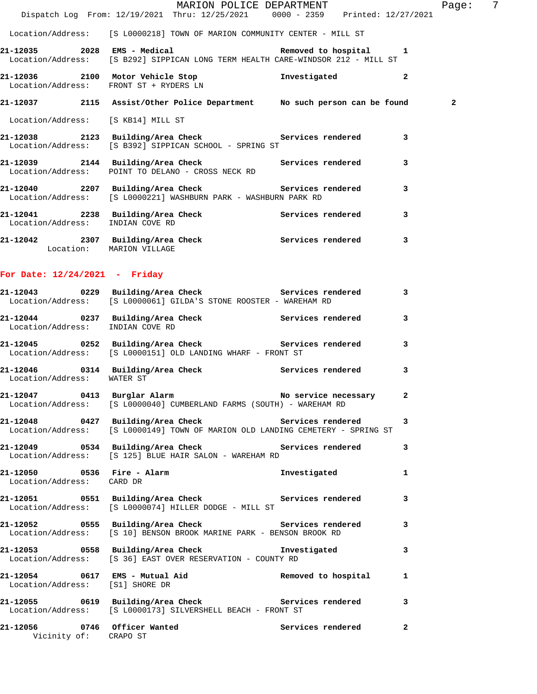|                                                         | Dispatch Log From: 12/19/2021 Thru: 12/25/2021 0000 - 2359 Printed: 12/27/2021                                                                | MARION POLICE DEPARTMENT | Page: 7                 |
|---------------------------------------------------------|-----------------------------------------------------------------------------------------------------------------------------------------------|--------------------------|-------------------------|
|                                                         |                                                                                                                                               |                          |                         |
|                                                         | Location/Address: [S L0000218] TOWN OF MARION COMMUNITY CENTER - MILL ST                                                                      |                          |                         |
|                                                         | 21-12035 2028 EMS - Medical Contract Removed to hospital 1<br>Location/Address: [S B292] SIPPICAN LONG TERM HEALTH CARE-WINDSOR 212 - MILL ST |                          |                         |
|                                                         | 21-12036 2100 Motor Vehicle Stop 5 1nvestigated 2<br>Location/Address: FRONT ST + RYDERS LN                                                   |                          |                         |
|                                                         | 21-12037 2115 Assist/Other Police Department No such person can be found                                                                      |                          | $\mathbf{2}$            |
| Location/Address: [S KB14] MILL ST                      |                                                                                                                                               |                          |                         |
|                                                         | 21-12038 2123 Building/Area Check Services rendered 3<br>Location/Address: [S B392] SIPPICAN SCHOOL - SPRING ST                               |                          |                         |
|                                                         | 21-12039 2144 Building/Area Check Services rendered<br>Location/Address: POINT TO DELANO - CROSS NECK RD                                      |                          | 3                       |
|                                                         | 21-12040 2207 Building/Area Check 5ervices rendered 3<br>Location/Address: [S L0000221] WASHBURN PARK - WASHBURN PARK RD                      |                          |                         |
| Location/Address: INDIAN COVE RD                        | 21-12041 2238 Building/Area Check Services rendered                                                                                           |                          | 3                       |
| Location: MARION VILLAGE                                | 21-12042 2307 Building/Area Check Services rendered 3                                                                                         |                          |                         |
| For Date: $12/24/2021$ - Friday                         |                                                                                                                                               |                          |                         |
|                                                         | 21-12043 0229 Building/Area Check 5ervices rendered 3<br>Location/Address: [S L0000061] GILDA'S STONE ROOSTER - WAREHAM RD                    |                          |                         |
| Location/Address: INDIAN COVE RD                        | 21-12044 0237 Building/Area Check Services rendered                                                                                           |                          | 3                       |
|                                                         | 21-12045 0252 Building/Area Check Services rendered<br>Location/Address: [S L0000151] OLD LANDING WHARF - FRONT ST                            |                          | $\overline{\mathbf{3}}$ |
| Location/Address: WATER ST                              | 21-12046  0314 Building/Area Check  Services rendered                                                                                         |                          | 3                       |
|                                                         | 21-12047 0413 Burglar Alarm No Service necessary<br>Location/Address: [S L0000040] CUMBERLAND FARMS (SOUTH) - WAREHAM RD                      |                          | 2                       |
|                                                         | 21-12048 0427 Building/Area Check 5ervices rendered 3<br>Location/Address: [S L0000149] TOWN OF MARION OLD LANDING CEMETERY - SPRING ST       |                          |                         |
|                                                         | 21-12049 0534 Building/Area Check 5ervices rendered 3<br>Location/Address: [S 125] BLUE HAIR SALON - WAREHAM RD                               |                          |                         |
| 21-12050 0536 Fire - Alarm<br>Location/Address: CARD DR |                                                                                                                                               | Investigated             | $\mathbf{1}$            |
|                                                         | Location/Address: [S L0000074] HILLER DODGE - MILL ST                                                                                         |                          |                         |
|                                                         | 21-12052    0555 Building/Area Check    Gervices rendered    3<br>Location/Address: [S 10] BENSON BROOK MARINE PARK - BENSON BROOK RD         |                          |                         |
|                                                         | 21-12053 0558 Building/Area Check 1nvestigated 3<br>Location/Address: [S 36] EAST OVER RESERVATION - COUNTY RD                                |                          |                         |
| Location/Address: [S1] SHORE DR                         | 21-12054 0617 EMS - Mutual Aid Nemoved to hospital                                                                                            |                          | 1                       |
|                                                         | 21-12055 0619 Building/Area Check 5ervices rendered 3<br>Location/Address: [S L0000173] SILVERSHELL BEACH - FRONT ST                          |                          |                         |
| 21-12056 0746 Officer Wanted<br>Vicinity of: CRAPO ST   |                                                                                                                                               | Services rendered        | $\mathbf{2}$            |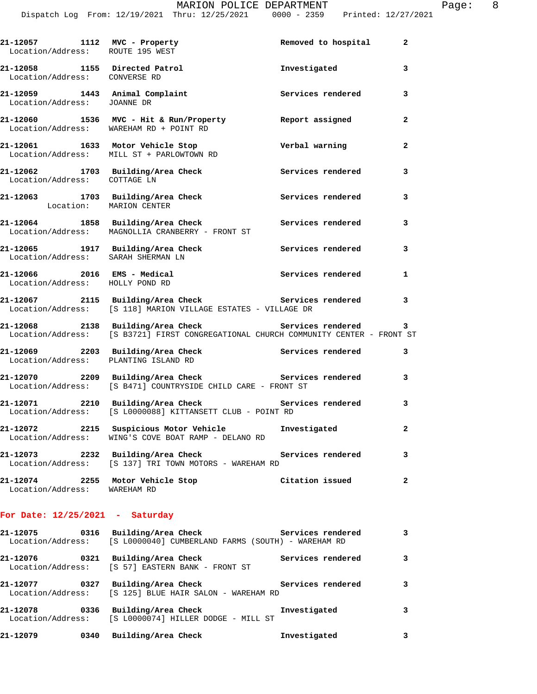| 27/2021 |  |
|---------|--|

| 21-12057 1112 MVC - Property<br>Location/Address: ROUTE 195 WEST |                                                                                                                                            | Removed to hospital | $\mathbf{2}$            |
|------------------------------------------------------------------|--------------------------------------------------------------------------------------------------------------------------------------------|---------------------|-------------------------|
| 21-12058 1155 Directed Patrol<br>Location/Address: CONVERSE RD   |                                                                                                                                            | Investigated        | $\mathbf{3}$            |
| Location/Address: JOANNE DR                                      | 21-12059 1443 Animal Complaint                                                                                                             | Services rendered   | 3                       |
|                                                                  | 21-12060 1536 MVC - Hit & Run/Property Report assigned<br>Location/Address: WAREHAM RD + POINT RD                                          |                     | $\mathbf{2}$            |
|                                                                  | 21-12061 1633 Motor Vehicle Stop<br>Location/Address: MILL ST + PARLOWTOWN RD                                                              | Verbal warning      | $\mathbf{2}$            |
| Location/Address: COTTAGE LN                                     | 21-12062 1703 Building/Area Check Services rendered                                                                                        |                     | 3                       |
| Location: MARION CENTER                                          | 21-12063 1703 Building/Area Check 1997 Services rendered 3                                                                                 |                     |                         |
|                                                                  | 21-12064 1858 Building/Area Check 5ervices rendered 3<br>Location/Address: MAGNOLLIA CRANBERRY - FRONT ST                                  |                     |                         |
| Location/Address: SARAH SHERMAN LN                               | 21-12065 1917 Building/Area Check 5ervices rendered 3                                                                                      |                     |                         |
| Location/Address: HOLLY POND RD                                  | 21-12066 2016 EMS - Medical Services rendered                                                                                              |                     | 1                       |
|                                                                  | 21-12067 2115 Building/Area Check 5ervices rendered 3<br>Location/Address: [S 118] MARION VILLAGE ESTATES - VILLAGE DR                     |                     |                         |
|                                                                  | 21-12068 2138 Building/Area Check Services rendered<br>Location/Address: [S B3721] FIRST CONGREGATIONAL CHURCH COMMUNITY CENTER - FRONT ST |                     | 3                       |
| Location/Address: PLANTING ISLAND RD                             | 21-12069 2203 Building/Area Check 2011 Services rendered 3                                                                                 |                     |                         |
|                                                                  | 21-12070 2209 Building/Area Check Services rendered 3<br>Location/Address: [S B471] COUNTRYSIDE CHILD CARE - FRONT ST                      |                     |                         |
|                                                                  | 21-12071 2210 Building/Area Check Services rendered 3<br>Location/Address: [S L0000088] KITTANSETT CLUB - POINT RD                         |                     |                         |
|                                                                  | 21-12072 2215 Suspicious Motor Vehicle 5 Investigated<br>Location/Address: WING'S COVE BOAT RAMP - DELANO RD                               |                     | $\mathbf{2}$            |
|                                                                  | 21-12073 2232 Building/Area Check<br>Location/Address: [S 137] TRI TOWN MOTORS - WAREHAM RD                                                | Services rendered   | 3                       |
| Location/Address: WAREHAM RD                                     | 21-12074 2255 Motor Vehicle Stop                                                                                                           | Citation issued     | $\mathbf{2}$            |
| For Date: $12/25/2021$ - Saturday                                |                                                                                                                                            |                     |                         |
|                                                                  | 21-12075 0316 Building/Area Check 5ervices rendered<br>Location/Address: [S L0000040] CUMBERLAND FARMS (SOUTH) - WAREHAM RD                |                     | 3                       |
| 21-12076                                                         | 0321 Building/Area Check                                                                                                                   | Services rendered   | $\overline{\mathbf{3}}$ |

 Location/Address: [S 57] EASTERN BANK - FRONT ST **21-12077 0327 Building/Area Check Services rendered 3**  Location/Address: [S 125] BLUE HAIR SALON - WAREHAM RD

**21-12078 0336 Building/Area Check Investigated 3**  Location/Address: [S L0000074] HILLER DODGE - MILL ST **21-12079 0340 Building/Area Check Investigated 3**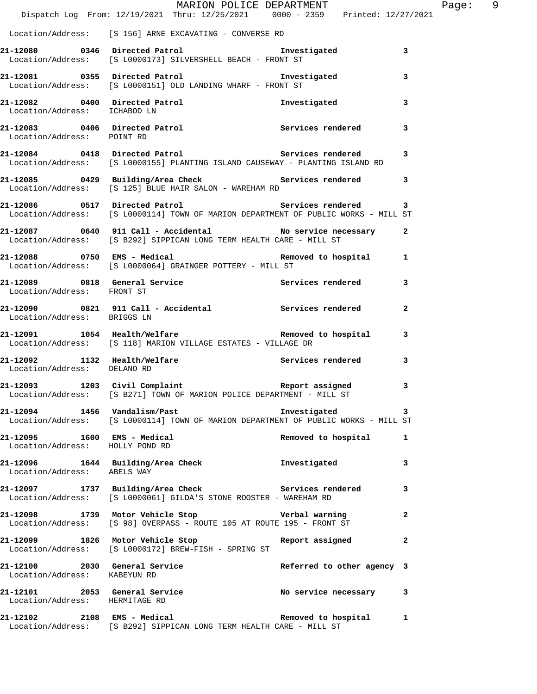|                                | $\verb+MARION POLICE DEPARTMENT\n  Dispatch Log From: 12/19/2021 Thru: 12/25/2021 0000 - 2359 Printed: 12/27/2021$                                                           |                            | Page: 9      |
|--------------------------------|------------------------------------------------------------------------------------------------------------------------------------------------------------------------------|----------------------------|--------------|
|                                | Location/Address: [S 156] ARNE EXCAVATING - CONVERSE RD                                                                                                                      |                            |              |
|                                | 21-12080 0346 Directed Patrol 1 and 1 and 121-12080 0346 01 and 21-12080<br>Location/Address: [S L0000173] SILVERSHELL BEACH - FRONT ST                                      |                            |              |
|                                | 21-12081 0355 Directed Patrol 1 and 1 and 121-12081<br>Location/Address: [S L0000151] OLD LANDING WHARF - FRONT ST                                                           |                            | 3            |
| Location/Address: ICHABOD LN   | 21-12082 0400 Directed Patrol                                                                                                                                                | Investigated               | 3            |
| Location/Address: POINT RD     | 21-12083 0406 Directed Patrol 21-12083 Services rendered                                                                                                                     |                            | 3            |
|                                | 21-12084 0418 Directed Patrol Services rendered<br>Location/Address: [S L0000155] PLANTING ISLAND CAUSEWAY - PLANTING ISLAND RD                                              |                            | 3            |
|                                | 21-12085 0429 Building/Area Check Services rendered 3<br>Location/Address: [S 125] BLUE HAIR SALON - WAREHAM RD                                                              |                            |              |
|                                | Location/Address: [S L0000114] TOWN OF MARION DEPARTMENT OF PUBLIC WORKS - MILL ST                                                                                           |                            |              |
|                                |                                                                                                                                                                              |                            |              |
|                                | <br> 21-12088             0750   EMS – Medical                                   Removed to hospital          1<br>Location/Address: [S L0000064] GRAINGER POTTERY - MILL ST |                            |              |
| Location/Address: FRONT ST     | 21-12089 0818 General Service 3 Services rendered 3                                                                                                                          |                            |              |
| Location/Address: BRIGGS LN    | 21-12090 0821 911 Call - Accidental Carvices rendered                                                                                                                        |                            | $\mathbf{2}$ |
|                                | 21-12091 1054 Health/Welfare <b>1200 Removed</b> to hospital 3<br>Location/Address: [S 118] MARION VILLAGE ESTATES - VILLAGE DR                                              |                            |              |
| Location/Address: DELANO RD    | 21-12092 1132 Health/Welfare Services rendered                                                                                                                               |                            | 3            |
|                                | 21-12093 1203 Civil Complaint 1203 Report assigned 3<br>Location/Address: [S B271] TOWN OF MARION POLICE DEPARTMENT - MILL ST                                                |                            |              |
|                                | 21-12094 1456 Vandalism/Past<br>Location/Address: [S L0000114] TOWN OF MARION DEPARTMENT OF PUBLIC WORKS - MILL ST                                                           | Investigated               | 3            |
|                                | 21-12095 1600 EMS - Medical<br>Location/Address: HOLLY POND RD                                                                                                               | Removed to hospital 1      |              |
| Location/Address: ABELS WAY    | 21-12096 1644 Building/Area Check 1nvestigated                                                                                                                               |                            | 3            |
|                                | 21-12097 1737 Building/Area Check Services rendered 3<br>Location/Address: [S L0000061] GILDA'S STONE ROOSTER - WAREHAM RD                                                   |                            |              |
|                                | 21-12098 1739 Motor Vehicle Stop Nerbal warning<br>Location/Address: [S 98] OVERPASS - ROUTE 105 AT ROUTE 195 - FRONT ST                                                     |                            | $\mathbf{2}$ |
|                                | 21-12099 1826 Motor Vehicle Stop<br>Location/Address: [S L0000172] BREW-FISH - SPRING ST                                                                                     | Report assigned            | 2            |
| Location/Address: KABEYUN RD   | 21-12100 2030 General Service                                                                                                                                                | Referred to other agency 3 |              |
| Location/Address: HERMITAGE RD | 21-12101 2053 General Service No service necessary 3                                                                                                                         |                            |              |
|                                | 21-12102 2108 EMS - Medical Contract Removed to hospital<br>Location/Address: [S B292] SIPPICAN LONG TERM HEALTH CARE - MILL ST                                              |                            | 1            |